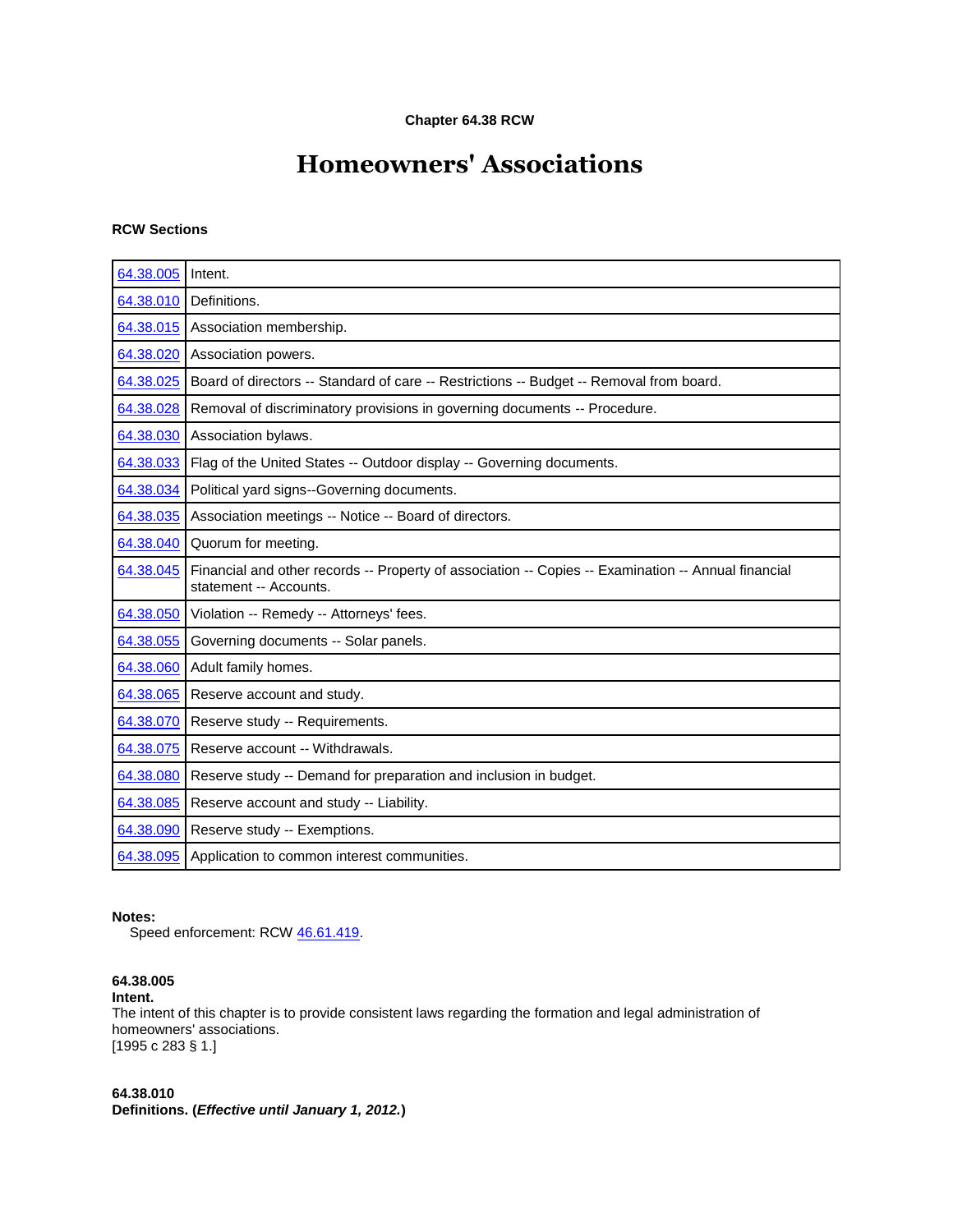# **Chapter 64.38 RCW**

# **Homeowners' Associations**

# **RCW Sections**

| 64.38.005 | Intent.                                                                                                                       |
|-----------|-------------------------------------------------------------------------------------------------------------------------------|
| 64.38.010 | Definitions.                                                                                                                  |
| 64.38.015 | Association membership.                                                                                                       |
| 64.38.020 | Association powers.                                                                                                           |
| 64.38.025 | Board of directors -- Standard of care -- Restrictions -- Budget -- Removal from board.                                       |
| 64.38.028 | Removal of discriminatory provisions in governing documents -- Procedure.                                                     |
| 64.38.030 | Association bylaws.                                                                                                           |
| 64.38.033 | Flag of the United States -- Outdoor display -- Governing documents.                                                          |
| 64.38.034 | Political yard signs--Governing documents.                                                                                    |
| 64.38.035 | Association meetings -- Notice -- Board of directors.                                                                         |
| 64.38.040 | Quorum for meeting.                                                                                                           |
| 64.38.045 | Financial and other records -- Property of association -- Copies -- Examination -- Annual financial<br>statement -- Accounts. |
| 64.38.050 | Violation -- Remedy -- Attorneys' fees.                                                                                       |
| 64.38.055 | Governing documents -- Solar panels.                                                                                          |
| 64.38.060 | Adult family homes.                                                                                                           |
| 64.38.065 | Reserve account and study.                                                                                                    |
| 64.38.070 | Reserve study -- Requirements.                                                                                                |
| 64.38.075 | Reserve account -- Withdrawals.                                                                                               |
| 64.38.080 | Reserve study -- Demand for preparation and inclusion in budget.                                                              |
| 64.38.085 | Reserve account and study -- Liability.                                                                                       |
| 64.38.090 | Reserve study -- Exemptions.                                                                                                  |
| 64.38.095 | Application to common interest communities.                                                                                   |

# **Notes:**

Speed enforcement: RCW [46.61.419.](http://apps.leg.wa.gov/rcw/default.aspx?cite=46.61.419)

# **64.38.005**

# **Intent.**

The intent of this chapter is to provide consistent laws regarding the formation and legal administration of homeowners' associations. [1995 c 283 § 1.]

## **64.38.010 Definitions. (***Effective until January 1, 2012.***)**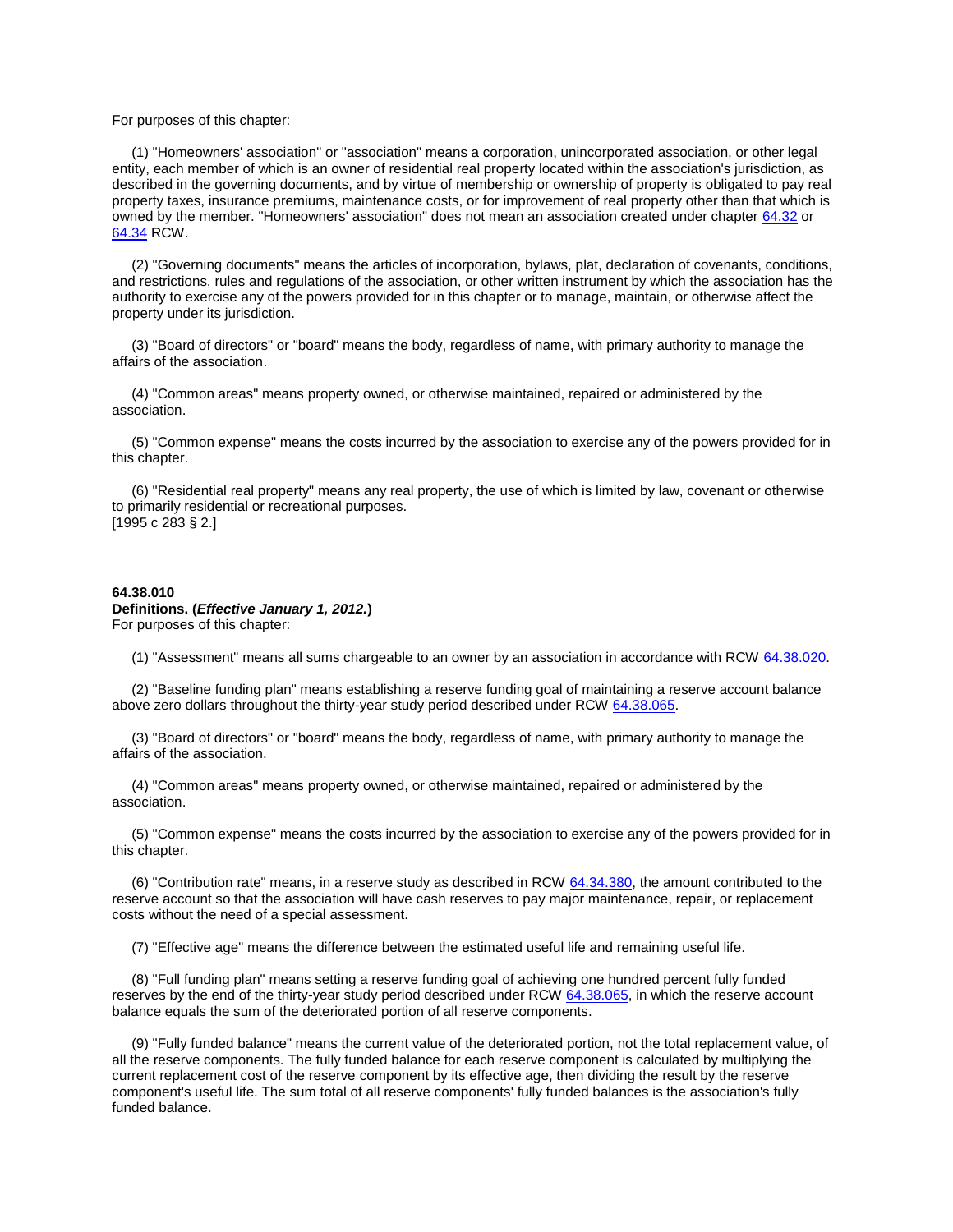#### For purposes of this chapter:

 (1) "Homeowners' association" or "association" means a corporation, unincorporated association, or other legal entity, each member of which is an owner of residential real property located within the association's jurisdiction, as described in the governing documents, and by virtue of membership or ownership of property is obligated to pay real property taxes, insurance premiums, maintenance costs, or for improvement of real property other than that which is owned by the member. "Homeowners' association" does not mean an association created under chapter [64.32](http://apps.leg.wa.gov/rcw/default.aspx?cite=64.32) or [64.34](http://apps.leg.wa.gov/rcw/default.aspx?cite=64.34) RCW.

 (2) "Governing documents" means the articles of incorporation, bylaws, plat, declaration of covenants, conditions, and restrictions, rules and regulations of the association, or other written instrument by which the association has the authority to exercise any of the powers provided for in this chapter or to manage, maintain, or otherwise affect the property under its jurisdiction.

 (3) "Board of directors" or "board" means the body, regardless of name, with primary authority to manage the affairs of the association.

 (4) "Common areas" means property owned, or otherwise maintained, repaired or administered by the association.

 (5) "Common expense" means the costs incurred by the association to exercise any of the powers provided for in this chapter.

 (6) "Residential real property" means any real property, the use of which is limited by law, covenant or otherwise to primarily residential or recreational purposes. [1995 c 283 § 2.]

## **64.38.010**

# **Definitions. (***Effective January 1, 2012.***)**

For purposes of this chapter:

(1) "Assessment" means all sums chargeable to an owner by an association in accordance with RCW [64.38.020.](http://apps.leg.wa.gov/rcw/default.aspx?cite=64.38&full=true#64.38.020)

 (2) "Baseline funding plan" means establishing a reserve funding goal of maintaining a reserve account balance above zero dollars throughout the thirty-year study period described under RCW [64.38.065.](http://apps.leg.wa.gov/rcw/default.aspx?cite=64.38&full=true#64.38.065)

 (3) "Board of directors" or "board" means the body, regardless of name, with primary authority to manage the affairs of the association.

 (4) "Common areas" means property owned, or otherwise maintained, repaired or administered by the association.

 (5) "Common expense" means the costs incurred by the association to exercise any of the powers provided for in this chapter.

 (6) "Contribution rate" means, in a reserve study as described in RCW [64.34.380,](http://apps.leg.wa.gov/rcw/default.aspx?cite=64.34.380) the amount contributed to the reserve account so that the association will have cash reserves to pay major maintenance, repair, or replacement costs without the need of a special assessment.

(7) "Effective age" means the difference between the estimated useful life and remaining useful life.

 (8) "Full funding plan" means setting a reserve funding goal of achieving one hundred percent fully funded reserves by the end of the thirty-year study period described under RCW [64.38.065,](http://apps.leg.wa.gov/rcw/default.aspx?cite=64.38&full=true#64.38.065) in which the reserve account balance equals the sum of the deteriorated portion of all reserve components.

 (9) "Fully funded balance" means the current value of the deteriorated portion, not the total replacement value, of all the reserve components. The fully funded balance for each reserve component is calculated by multiplying the current replacement cost of the reserve component by its effective age, then dividing the result by the reserve component's useful life. The sum total of all reserve components' fully funded balances is the association's fully funded balance.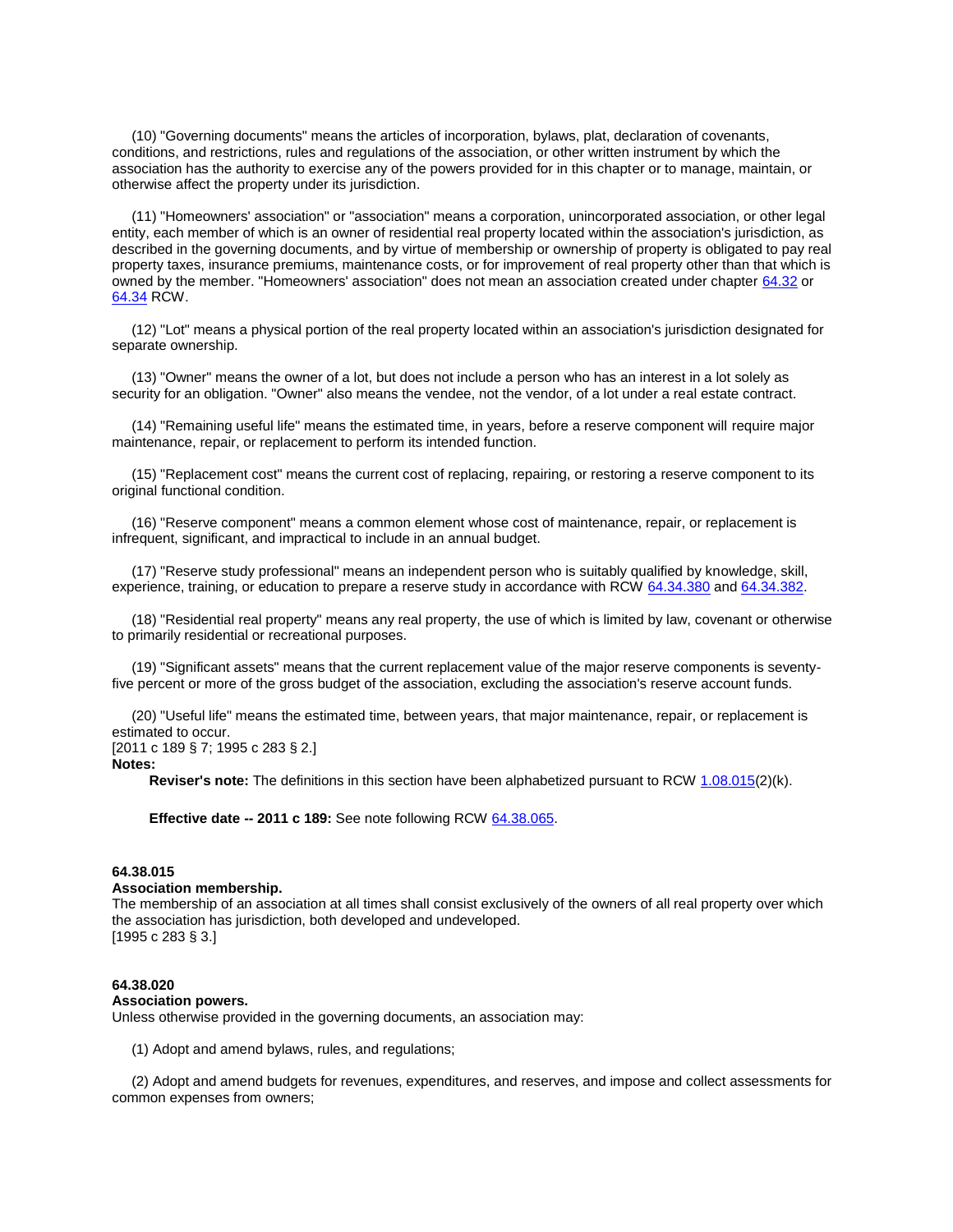(10) "Governing documents" means the articles of incorporation, bylaws, plat, declaration of covenants, conditions, and restrictions, rules and regulations of the association, or other written instrument by which the association has the authority to exercise any of the powers provided for in this chapter or to manage, maintain, or otherwise affect the property under its jurisdiction.

 (11) "Homeowners' association" or "association" means a corporation, unincorporated association, or other legal entity, each member of which is an owner of residential real property located within the association's jurisdiction, as described in the governing documents, and by virtue of membership or ownership of property is obligated to pay real property taxes, insurance premiums, maintenance costs, or for improvement of real property other than that which is owned by the member. "Homeowners' association" does not mean an association created under chapter [64.32](http://apps.leg.wa.gov/rcw/default.aspx?cite=64.32) or [64.34](http://apps.leg.wa.gov/rcw/default.aspx?cite=64.34) RCW.

 (12) "Lot" means a physical portion of the real property located within an association's jurisdiction designated for separate ownership.

 (13) "Owner" means the owner of a lot, but does not include a person who has an interest in a lot solely as security for an obligation. "Owner" also means the vendee, not the vendor, of a lot under a real estate contract.

 (14) "Remaining useful life" means the estimated time, in years, before a reserve component will require major maintenance, repair, or replacement to perform its intended function.

 (15) "Replacement cost" means the current cost of replacing, repairing, or restoring a reserve component to its original functional condition.

 (16) "Reserve component" means a common element whose cost of maintenance, repair, or replacement is infrequent, significant, and impractical to include in an annual budget.

 (17) "Reserve study professional" means an independent person who is suitably qualified by knowledge, skill, experience, training, or education to prepare a reserve study in accordance with RCW [64.34.380](http://apps.leg.wa.gov/rcw/default.aspx?cite=64.34.380) and [64.34.382.](http://apps.leg.wa.gov/rcw/default.aspx?cite=64.34.382)

 (18) "Residential real property" means any real property, the use of which is limited by law, covenant or otherwise to primarily residential or recreational purposes.

 (19) "Significant assets" means that the current replacement value of the major reserve components is seventyfive percent or more of the gross budget of the association, excluding the association's reserve account funds.

 (20) "Useful life" means the estimated time, between years, that major maintenance, repair, or replacement is estimated to occur.

[2011 c 189 § 7; 1995 c 283 § 2.]

#### **Notes:**

**Reviser's note:** The definitions in this section have been alphabetized pursuant to RCW [1.08.015\(](http://apps.leg.wa.gov/rcw/default.aspx?cite=1.08.015)2)(k).

**Effective date -- 2011 c 189:** See note following RCW [64.38.065.](http://apps.leg.wa.gov/rcw/default.aspx?cite=64.38&full=true#64.38.065)

# **64.38.015**

## **Association membership.**

The membership of an association at all times shall consist exclusively of the owners of all real property over which the association has jurisdiction, both developed and undeveloped. [1995 c 283 § 3.]

#### **64.38.020**

#### **Association powers.**

Unless otherwise provided in the governing documents, an association may:

(1) Adopt and amend bylaws, rules, and regulations;

 (2) Adopt and amend budgets for revenues, expenditures, and reserves, and impose and collect assessments for common expenses from owners;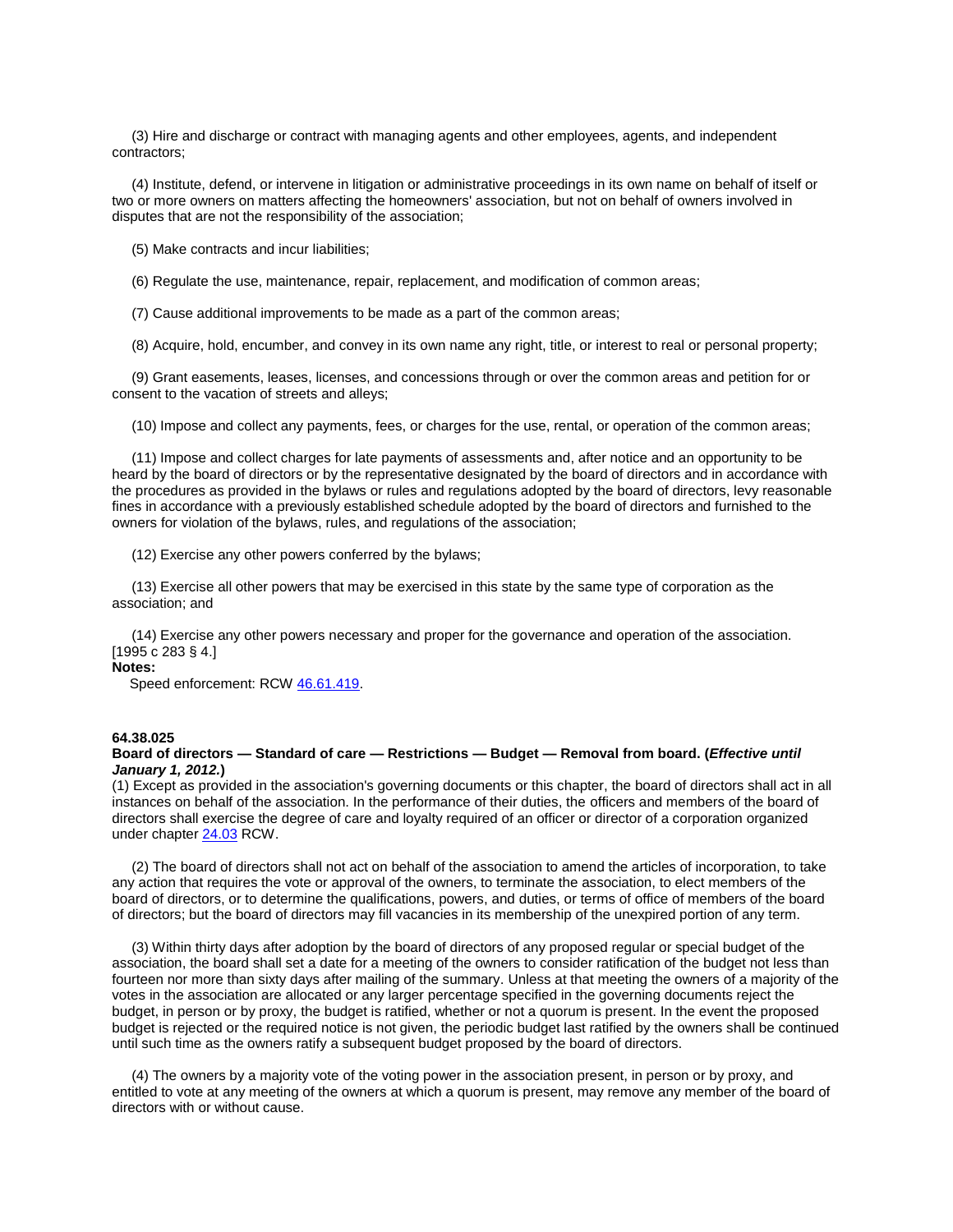(3) Hire and discharge or contract with managing agents and other employees, agents, and independent contractors;

 (4) Institute, defend, or intervene in litigation or administrative proceedings in its own name on behalf of itself or two or more owners on matters affecting the homeowners' association, but not on behalf of owners involved in disputes that are not the responsibility of the association;

(5) Make contracts and incur liabilities;

(6) Regulate the use, maintenance, repair, replacement, and modification of common areas;

(7) Cause additional improvements to be made as a part of the common areas;

(8) Acquire, hold, encumber, and convey in its own name any right, title, or interest to real or personal property;

 (9) Grant easements, leases, licenses, and concessions through or over the common areas and petition for or consent to the vacation of streets and alleys;

(10) Impose and collect any payments, fees, or charges for the use, rental, or operation of the common areas;

 (11) Impose and collect charges for late payments of assessments and, after notice and an opportunity to be heard by the board of directors or by the representative designated by the board of directors and in accordance with the procedures as provided in the bylaws or rules and regulations adopted by the board of directors, levy reasonable fines in accordance with a previously established schedule adopted by the board of directors and furnished to the owners for violation of the bylaws, rules, and regulations of the association;

(12) Exercise any other powers conferred by the bylaws;

 (13) Exercise all other powers that may be exercised in this state by the same type of corporation as the association; and

 (14) Exercise any other powers necessary and proper for the governance and operation of the association. [1995 c 283 § 4.]

**Notes:**

Speed enforcement: RCW [46.61.419.](http://apps.leg.wa.gov/rcw/default.aspx?cite=46.61.419)

#### **64.38.025**

## **Board of directors — Standard of care — Restrictions — Budget — Removal from board. (***Effective until January 1, 2012.***)**

(1) Except as provided in the association's governing documents or this chapter, the board of directors shall act in all instances on behalf of the association. In the performance of their duties, the officers and members of the board of directors shall exercise the degree of care and loyalty required of an officer or director of a corporation organized under chapter [24.03](http://apps.leg.wa.gov/rcw/default.aspx?cite=24.03) RCW.

 (2) The board of directors shall not act on behalf of the association to amend the articles of incorporation, to take any action that requires the vote or approval of the owners, to terminate the association, to elect members of the board of directors, or to determine the qualifications, powers, and duties, or terms of office of members of the board of directors; but the board of directors may fill vacancies in its membership of the unexpired portion of any term.

 (3) Within thirty days after adoption by the board of directors of any proposed regular or special budget of the association, the board shall set a date for a meeting of the owners to consider ratification of the budget not less than fourteen nor more than sixty days after mailing of the summary. Unless at that meeting the owners of a majority of the votes in the association are allocated or any larger percentage specified in the governing documents reject the budget, in person or by proxy, the budget is ratified, whether or not a quorum is present. In the event the proposed budget is rejected or the required notice is not given, the periodic budget last ratified by the owners shall be continued until such time as the owners ratify a subsequent budget proposed by the board of directors.

 (4) The owners by a majority vote of the voting power in the association present, in person or by proxy, and entitled to vote at any meeting of the owners at which a quorum is present, may remove any member of the board of directors with or without cause.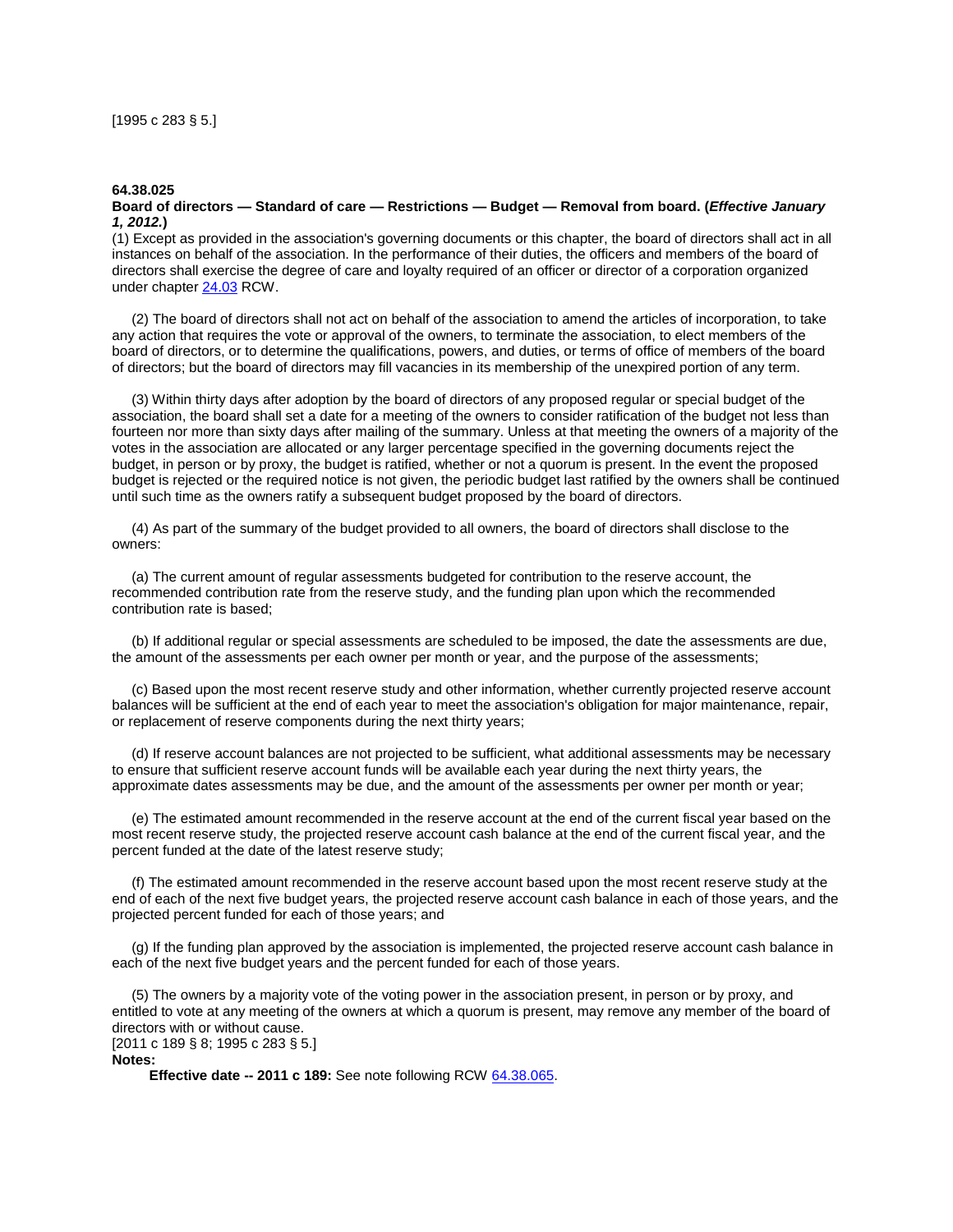## **64.38.025**

## **Board of directors — Standard of care — Restrictions — Budget — Removal from board. (***Effective January 1, 2012.***)**

(1) Except as provided in the association's governing documents or this chapter, the board of directors shall act in all instances on behalf of the association. In the performance of their duties, the officers and members of the board of directors shall exercise the degree of care and loyalty required of an officer or director of a corporation organized under chapter [24.03](http://apps.leg.wa.gov/rcw/default.aspx?cite=24.03) RCW.

 (2) The board of directors shall not act on behalf of the association to amend the articles of incorporation, to take any action that requires the vote or approval of the owners, to terminate the association, to elect members of the board of directors, or to determine the qualifications, powers, and duties, or terms of office of members of the board of directors; but the board of directors may fill vacancies in its membership of the unexpired portion of any term.

 (3) Within thirty days after adoption by the board of directors of any proposed regular or special budget of the association, the board shall set a date for a meeting of the owners to consider ratification of the budget not less than fourteen nor more than sixty days after mailing of the summary. Unless at that meeting the owners of a majority of the votes in the association are allocated or any larger percentage specified in the governing documents reject the budget, in person or by proxy, the budget is ratified, whether or not a quorum is present. In the event the proposed budget is rejected or the required notice is not given, the periodic budget last ratified by the owners shall be continued until such time as the owners ratify a subsequent budget proposed by the board of directors.

 (4) As part of the summary of the budget provided to all owners, the board of directors shall disclose to the owners:

 (a) The current amount of regular assessments budgeted for contribution to the reserve account, the recommended contribution rate from the reserve study, and the funding plan upon which the recommended contribution rate is based;

 (b) If additional regular or special assessments are scheduled to be imposed, the date the assessments are due, the amount of the assessments per each owner per month or year, and the purpose of the assessments;

 (c) Based upon the most recent reserve study and other information, whether currently projected reserve account balances will be sufficient at the end of each year to meet the association's obligation for major maintenance, repair, or replacement of reserve components during the next thirty years;

 (d) If reserve account balances are not projected to be sufficient, what additional assessments may be necessary to ensure that sufficient reserve account funds will be available each year during the next thirty years, the approximate dates assessments may be due, and the amount of the assessments per owner per month or year;

 (e) The estimated amount recommended in the reserve account at the end of the current fiscal year based on the most recent reserve study, the projected reserve account cash balance at the end of the current fiscal year, and the percent funded at the date of the latest reserve study;

 (f) The estimated amount recommended in the reserve account based upon the most recent reserve study at the end of each of the next five budget years, the projected reserve account cash balance in each of those years, and the projected percent funded for each of those years; and

 (g) If the funding plan approved by the association is implemented, the projected reserve account cash balance in each of the next five budget years and the percent funded for each of those years.

 (5) The owners by a majority vote of the voting power in the association present, in person or by proxy, and entitled to vote at any meeting of the owners at which a quorum is present, may remove any member of the board of directors with or without cause. [2011 c 189 § 8; 1995 c 283 § 5.]

**Notes:**

**Effective date -- 2011 c 189:** See note following RCW [64.38.065.](http://apps.leg.wa.gov/rcw/default.aspx?cite=64.38&full=true#64.38.065)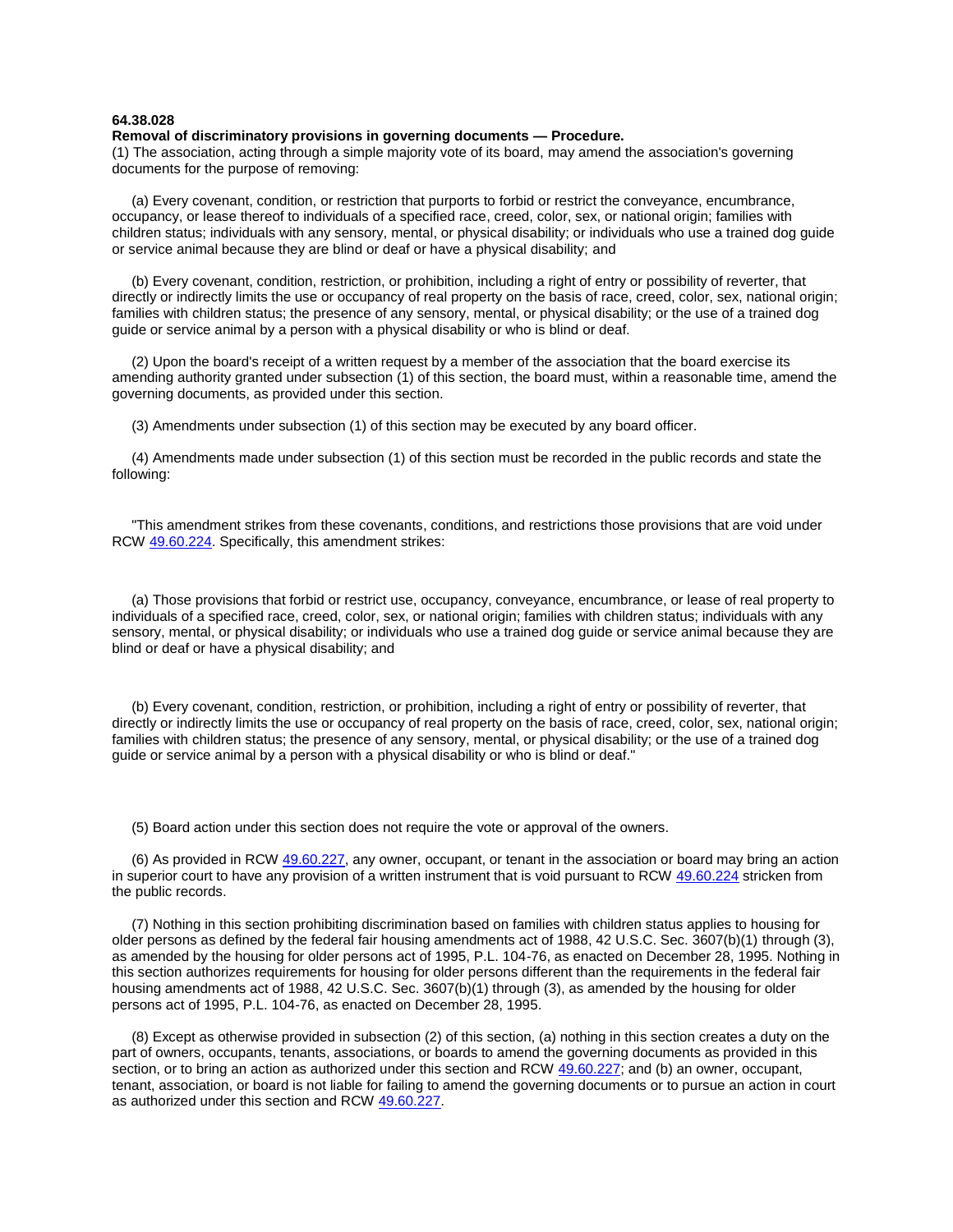## **64.38.028**

#### **Removal of discriminatory provisions in governing documents — Procedure.**

(1) The association, acting through a simple majority vote of its board, may amend the association's governing documents for the purpose of removing:

 (a) Every covenant, condition, or restriction that purports to forbid or restrict the conveyance, encumbrance, occupancy, or lease thereof to individuals of a specified race, creed, color, sex, or national origin; families with children status; individuals with any sensory, mental, or physical disability; or individuals who use a trained dog guide or service animal because they are blind or deaf or have a physical disability; and

 (b) Every covenant, condition, restriction, or prohibition, including a right of entry or possibility of reverter, that directly or indirectly limits the use or occupancy of real property on the basis of race, creed, color, sex, national origin; families with children status; the presence of any sensory, mental, or physical disability; or the use of a trained dog guide or service animal by a person with a physical disability or who is blind or deaf.

 (2) Upon the board's receipt of a written request by a member of the association that the board exercise its amending authority granted under subsection (1) of this section, the board must, within a reasonable time, amend the governing documents, as provided under this section.

(3) Amendments under subsection (1) of this section may be executed by any board officer.

 (4) Amendments made under subsection (1) of this section must be recorded in the public records and state the following:

 "This amendment strikes from these covenants, conditions, and restrictions those provisions that are void under RCW [49.60.224.](http://apps.leg.wa.gov/rcw/default.aspx?cite=49.60.224) Specifically, this amendment strikes:

 (a) Those provisions that forbid or restrict use, occupancy, conveyance, encumbrance, or lease of real property to individuals of a specified race, creed, color, sex, or national origin; families with children status; individuals with any sensory, mental, or physical disability; or individuals who use a trained dog guide or service animal because they are blind or deaf or have a physical disability; and

 (b) Every covenant, condition, restriction, or prohibition, including a right of entry or possibility of reverter, that directly or indirectly limits the use or occupancy of real property on the basis of race, creed, color, sex, national origin; families with children status; the presence of any sensory, mental, or physical disability; or the use of a trained dog guide or service animal by a person with a physical disability or who is blind or deaf."

(5) Board action under this section does not require the vote or approval of the owners.

 (6) As provided in RCW [49.60.227,](http://apps.leg.wa.gov/rcw/default.aspx?cite=49.60.227) any owner, occupant, or tenant in the association or board may bring an action in superior court to have any provision of a written instrument that is void pursuant to RCW [49.60.224](http://apps.leg.wa.gov/rcw/default.aspx?cite=49.60.224) stricken from the public records.

 (7) Nothing in this section prohibiting discrimination based on families with children status applies to housing for older persons as defined by the federal fair housing amendments act of 1988, 42 U.S.C. Sec. 3607(b)(1) through (3), as amended by the housing for older persons act of 1995, P.L. 104-76, as enacted on December 28, 1995. Nothing in this section authorizes requirements for housing for older persons different than the requirements in the federal fair housing amendments act of 1988, 42 U.S.C. Sec. 3607(b)(1) through (3), as amended by the housing for older persons act of 1995, P.L. 104-76, as enacted on December 28, 1995.

 (8) Except as otherwise provided in subsection (2) of this section, (a) nothing in this section creates a duty on the part of owners, occupants, tenants, associations, or boards to amend the governing documents as provided in this section, or to bring an action as authorized under this section and RCW [49.60.227;](http://apps.leg.wa.gov/rcw/default.aspx?cite=49.60.227) and (b) an owner, occupant, tenant, association, or board is not liable for failing to amend the governing documents or to pursue an action in court as authorized under this section and RCW [49.60.227.](http://apps.leg.wa.gov/rcw/default.aspx?cite=49.60.227)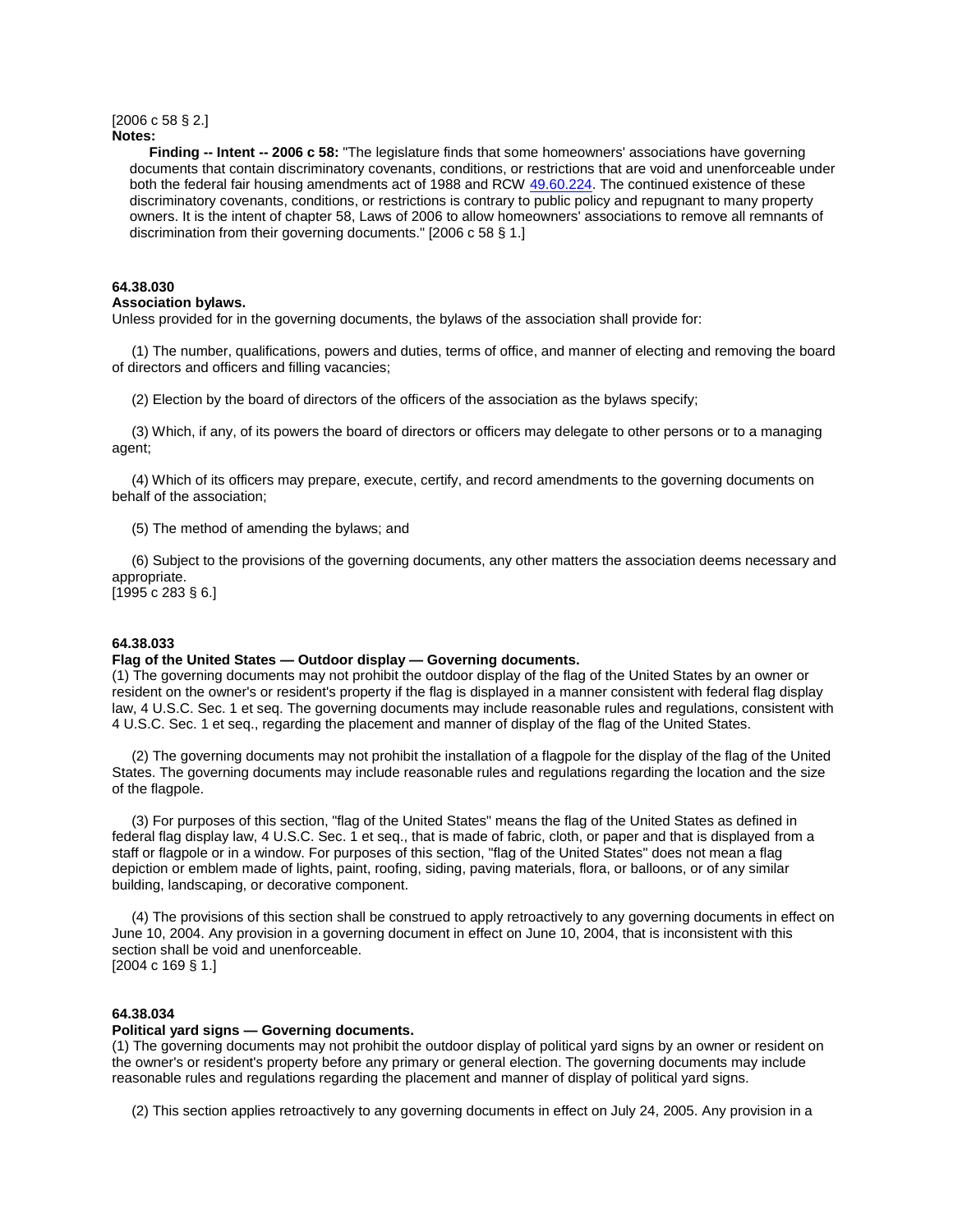#### [2006 c 58 § 2.] **Notes:**

 **Finding -- Intent -- 2006 c 58:** "The legislature finds that some homeowners' associations have governing documents that contain discriminatory covenants, conditions, or restrictions that are void and unenforceable under both the federal fair housing amendments act of 1988 and RCW [49.60.224.](http://apps.leg.wa.gov/rcw/default.aspx?cite=49.60.224) The continued existence of these discriminatory covenants, conditions, or restrictions is contrary to public policy and repugnant to many property owners. It is the intent of chapter 58, Laws of 2006 to allow homeowners' associations to remove all remnants of discrimination from their governing documents." [2006 c 58 § 1.]

# **64.38.030**

#### **Association bylaws.**

Unless provided for in the governing documents, the bylaws of the association shall provide for:

 (1) The number, qualifications, powers and duties, terms of office, and manner of electing and removing the board of directors and officers and filling vacancies;

(2) Election by the board of directors of the officers of the association as the bylaws specify;

 (3) Which, if any, of its powers the board of directors or officers may delegate to other persons or to a managing agent;

 (4) Which of its officers may prepare, execute, certify, and record amendments to the governing documents on behalf of the association;

(5) The method of amending the bylaws; and

 (6) Subject to the provisions of the governing documents, any other matters the association deems necessary and appropriate.

[1995 c 283 § 6.]

## **64.38.033**

### **Flag of the United States — Outdoor display — Governing documents.**

(1) The governing documents may not prohibit the outdoor display of the flag of the United States by an owner or resident on the owner's or resident's property if the flag is displayed in a manner consistent with federal flag display law, 4 U.S.C. Sec. 1 et seq. The governing documents may include reasonable rules and regulations, consistent with 4 U.S.C. Sec. 1 et seq., regarding the placement and manner of display of the flag of the United States.

 (2) The governing documents may not prohibit the installation of a flagpole for the display of the flag of the United States. The governing documents may include reasonable rules and regulations regarding the location and the size of the flagpole.

 (3) For purposes of this section, "flag of the United States" means the flag of the United States as defined in federal flag display law, 4 U.S.C. Sec. 1 et seq., that is made of fabric, cloth, or paper and that is displayed from a staff or flagpole or in a window. For purposes of this section, "flag of the United States" does not mean a flag depiction or emblem made of lights, paint, roofing, siding, paving materials, flora, or balloons, or of any similar building, landscaping, or decorative component.

 (4) The provisions of this section shall be construed to apply retroactively to any governing documents in effect on June 10, 2004. Any provision in a governing document in effect on June 10, 2004, that is inconsistent with this section shall be void and unenforceable. [2004 c 169 § 1.]

### **64.38.034**

### **Political yard signs — Governing documents.**

(1) The governing documents may not prohibit the outdoor display of political yard signs by an owner or resident on the owner's or resident's property before any primary or general election. The governing documents may include reasonable rules and regulations regarding the placement and manner of display of political yard signs.

(2) This section applies retroactively to any governing documents in effect on July 24, 2005. Any provision in a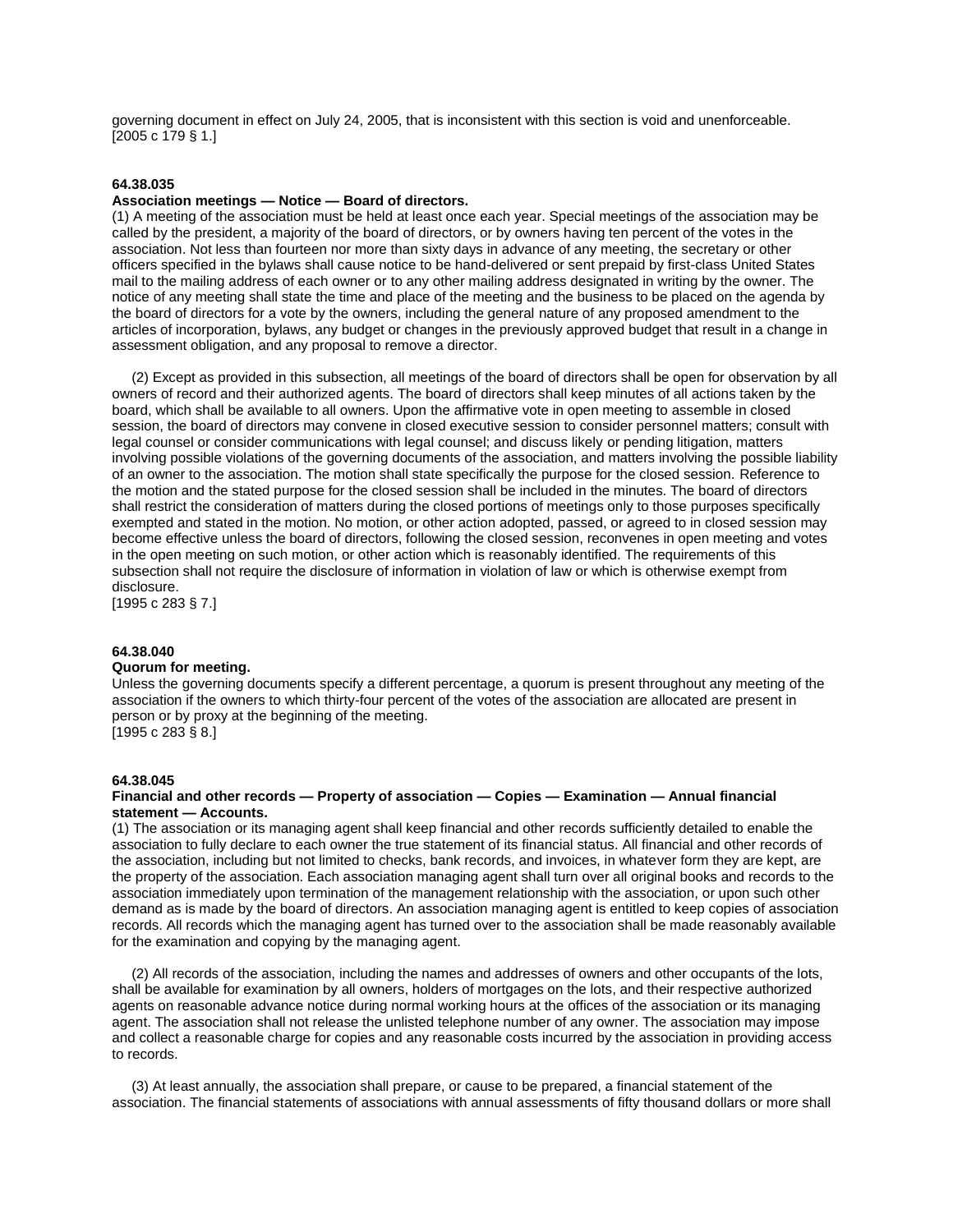governing document in effect on July 24, 2005, that is inconsistent with this section is void and unenforceable. [2005 c 179 § 1.]

#### **64.38.035**

## **Association meetings — Notice — Board of directors.**

(1) A meeting of the association must be held at least once each year. Special meetings of the association may be called by the president, a majority of the board of directors, or by owners having ten percent of the votes in the association. Not less than fourteen nor more than sixty days in advance of any meeting, the secretary or other officers specified in the bylaws shall cause notice to be hand-delivered or sent prepaid by first-class United States mail to the mailing address of each owner or to any other mailing address designated in writing by the owner. The notice of any meeting shall state the time and place of the meeting and the business to be placed on the agenda by the board of directors for a vote by the owners, including the general nature of any proposed amendment to the articles of incorporation, bylaws, any budget or changes in the previously approved budget that result in a change in assessment obligation, and any proposal to remove a director.

 (2) Except as provided in this subsection, all meetings of the board of directors shall be open for observation by all owners of record and their authorized agents. The board of directors shall keep minutes of all actions taken by the board, which shall be available to all owners. Upon the affirmative vote in open meeting to assemble in closed session, the board of directors may convene in closed executive session to consider personnel matters; consult with legal counsel or consider communications with legal counsel; and discuss likely or pending litigation, matters involving possible violations of the governing documents of the association, and matters involving the possible liability of an owner to the association. The motion shall state specifically the purpose for the closed session. Reference to the motion and the stated purpose for the closed session shall be included in the minutes. The board of directors shall restrict the consideration of matters during the closed portions of meetings only to those purposes specifically exempted and stated in the motion. No motion, or other action adopted, passed, or agreed to in closed session may become effective unless the board of directors, following the closed session, reconvenes in open meeting and votes in the open meeting on such motion, or other action which is reasonably identified. The requirements of this subsection shall not require the disclosure of information in violation of law or which is otherwise exempt from disclosure.

[1995 c 283 § 7.]

#### **64.38.040**

# **Quorum for meeting.**

Unless the governing documents specify a different percentage, a quorum is present throughout any meeting of the association if the owners to which thirty-four percent of the votes of the association are allocated are present in person or by proxy at the beginning of the meeting. [1995 c 283 § 8.]

#### **64.38.045**

#### **Financial and other records — Property of association — Copies — Examination — Annual financial statement — Accounts.**

(1) The association or its managing agent shall keep financial and other records sufficiently detailed to enable the association to fully declare to each owner the true statement of its financial status. All financial and other records of the association, including but not limited to checks, bank records, and invoices, in whatever form they are kept, are the property of the association. Each association managing agent shall turn over all original books and records to the association immediately upon termination of the management relationship with the association, or upon such other demand as is made by the board of directors. An association managing agent is entitled to keep copies of association records. All records which the managing agent has turned over to the association shall be made reasonably available for the examination and copying by the managing agent.

 (2) All records of the association, including the names and addresses of owners and other occupants of the lots, shall be available for examination by all owners, holders of mortgages on the lots, and their respective authorized agents on reasonable advance notice during normal working hours at the offices of the association or its managing agent. The association shall not release the unlisted telephone number of any owner. The association may impose and collect a reasonable charge for copies and any reasonable costs incurred by the association in providing access to records.

 (3) At least annually, the association shall prepare, or cause to be prepared, a financial statement of the association. The financial statements of associations with annual assessments of fifty thousand dollars or more shall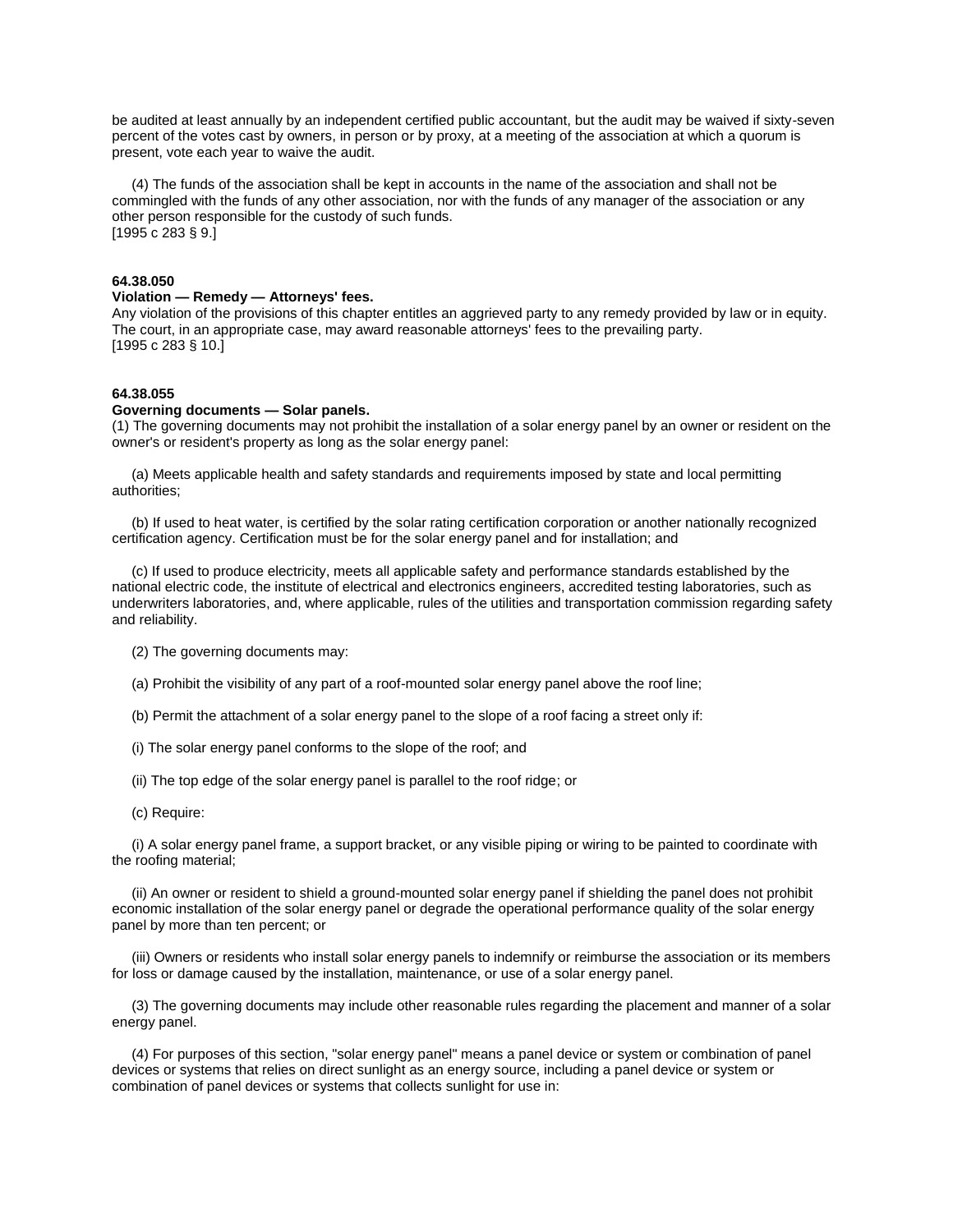be audited at least annually by an independent certified public accountant, but the audit may be waived if sixty-seven percent of the votes cast by owners, in person or by proxy, at a meeting of the association at which a quorum is present, vote each year to waive the audit.

 (4) The funds of the association shall be kept in accounts in the name of the association and shall not be commingled with the funds of any other association, nor with the funds of any manager of the association or any other person responsible for the custody of such funds. [1995 c 283 § 9.]

# **64.38.050**

# **Violation — Remedy — Attorneys' fees.**

Any violation of the provisions of this chapter entitles an aggrieved party to any remedy provided by law or in equity. The court, in an appropriate case, may award reasonable attorneys' fees to the prevailing party. [1995 c 283 § 10.]

#### **64.38.055**

#### **Governing documents — Solar panels.**

(1) The governing documents may not prohibit the installation of a solar energy panel by an owner or resident on the owner's or resident's property as long as the solar energy panel:

 (a) Meets applicable health and safety standards and requirements imposed by state and local permitting authorities;

 (b) If used to heat water, is certified by the solar rating certification corporation or another nationally recognized certification agency. Certification must be for the solar energy panel and for installation; and

 (c) If used to produce electricity, meets all applicable safety and performance standards established by the national electric code, the institute of electrical and electronics engineers, accredited testing laboratories, such as underwriters laboratories, and, where applicable, rules of the utilities and transportation commission regarding safety and reliability.

- (2) The governing documents may:
- (a) Prohibit the visibility of any part of a roof-mounted solar energy panel above the roof line;
- (b) Permit the attachment of a solar energy panel to the slope of a roof facing a street only if:
- (i) The solar energy panel conforms to the slope of the roof; and
- (ii) The top edge of the solar energy panel is parallel to the roof ridge; or
- (c) Require:

 (i) A solar energy panel frame, a support bracket, or any visible piping or wiring to be painted to coordinate with the roofing material;

 (ii) An owner or resident to shield a ground-mounted solar energy panel if shielding the panel does not prohibit economic installation of the solar energy panel or degrade the operational performance quality of the solar energy panel by more than ten percent; or

 (iii) Owners or residents who install solar energy panels to indemnify or reimburse the association or its members for loss or damage caused by the installation, maintenance, or use of a solar energy panel.

 (3) The governing documents may include other reasonable rules regarding the placement and manner of a solar energy panel.

 (4) For purposes of this section, "solar energy panel" means a panel device or system or combination of panel devices or systems that relies on direct sunlight as an energy source, including a panel device or system or combination of panel devices or systems that collects sunlight for use in: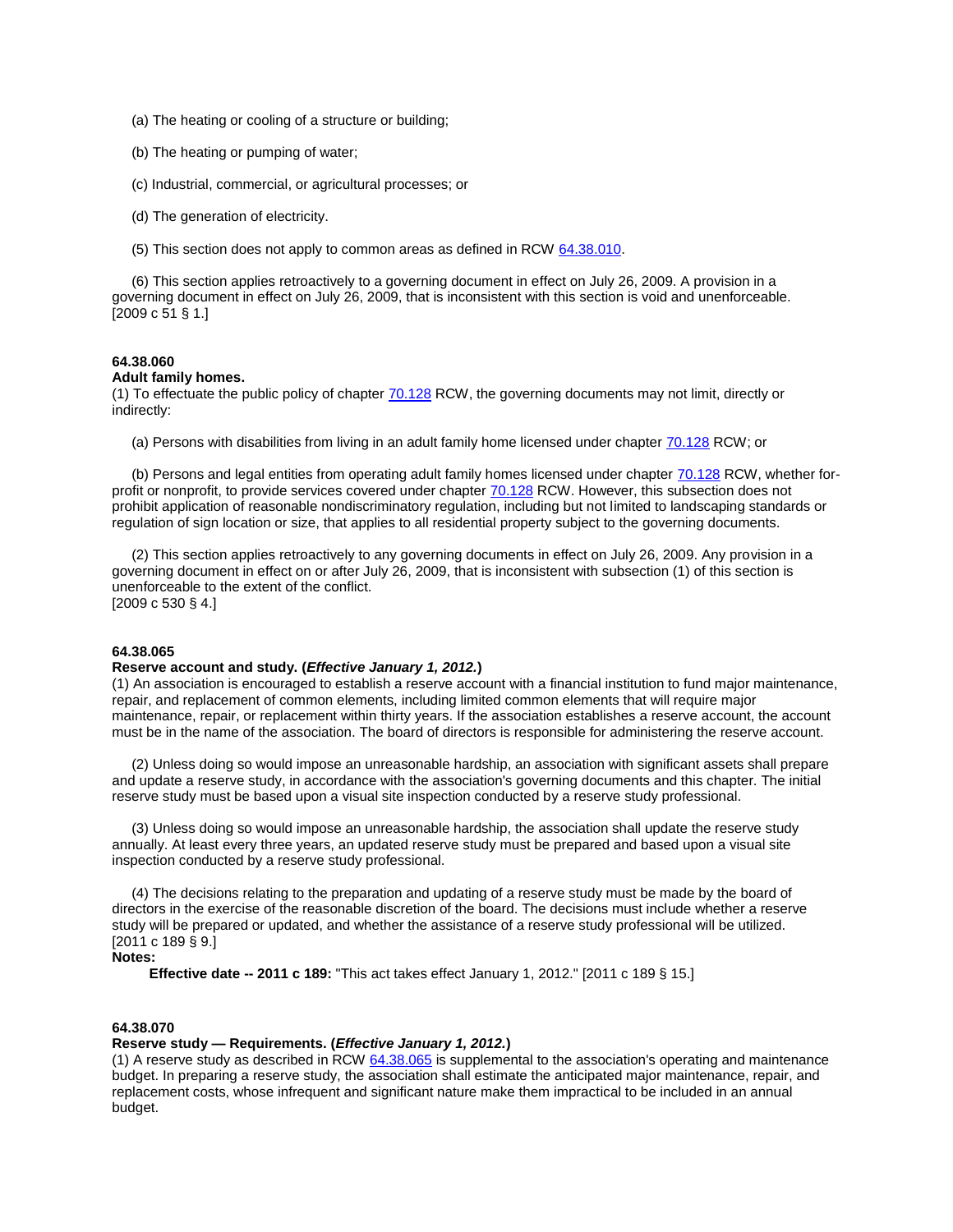- (a) The heating or cooling of a structure or building;
- (b) The heating or pumping of water;
- (c) Industrial, commercial, or agricultural processes; or
- (d) The generation of electricity.
- (5) This section does not apply to common areas as defined in RCW [64.38.010.](http://apps.leg.wa.gov/rcw/default.aspx?cite=64.38&full=true#64.38.010)

 (6) This section applies retroactively to a governing document in effect on July 26, 2009. A provision in a governing document in effect on July 26, 2009, that is inconsistent with this section is void and unenforceable. [2009 c 51 § 1.]

# **64.38.060**

## **Adult family homes.**

(1) To effectuate the public policy of chapte[r 70.128](http://apps.leg.wa.gov/rcw/default.aspx?cite=70.128) RCW, the governing documents may not limit, directly or indirectly:

(a) Persons with disabilities from living in an adult family home licensed under chapter [70.128](http://apps.leg.wa.gov/rcw/default.aspx?cite=70.128) RCW; or

 (b) Persons and legal entities from operating adult family homes licensed under chapter [70.128](http://apps.leg.wa.gov/rcw/default.aspx?cite=70.128) RCW, whether forprofit or nonprofit, to provide services covered under chapter [70.128](http://apps.leg.wa.gov/rcw/default.aspx?cite=70.128) RCW. However, this subsection does not prohibit application of reasonable nondiscriminatory regulation, including but not limited to landscaping standards or regulation of sign location or size, that applies to all residential property subject to the governing documents.

 (2) This section applies retroactively to any governing documents in effect on July 26, 2009. Any provision in a governing document in effect on or after July 26, 2009, that is inconsistent with subsection (1) of this section is unenforceable to the extent of the conflict. [2009 c 530 § 4.]

#### **64.38.065**

## **Reserve account and study. (***Effective January 1, 2012.***)**

(1) An association is encouraged to establish a reserve account with a financial institution to fund major maintenance, repair, and replacement of common elements, including limited common elements that will require major maintenance, repair, or replacement within thirty years. If the association establishes a reserve account, the account must be in the name of the association. The board of directors is responsible for administering the reserve account.

 (2) Unless doing so would impose an unreasonable hardship, an association with significant assets shall prepare and update a reserve study, in accordance with the association's governing documents and this chapter. The initial reserve study must be based upon a visual site inspection conducted by a reserve study professional.

 (3) Unless doing so would impose an unreasonable hardship, the association shall update the reserve study annually. At least every three years, an updated reserve study must be prepared and based upon a visual site inspection conducted by a reserve study professional.

 (4) The decisions relating to the preparation and updating of a reserve study must be made by the board of directors in the exercise of the reasonable discretion of the board. The decisions must include whether a reserve study will be prepared or updated, and whether the assistance of a reserve study professional will be utilized. [2011 c 189 § 9.]

## **Notes:**

**Effective date -- 2011 c 189:** "This act takes effect January 1, 2012." [2011 c 189 § 15.]

# **64.38.070**

# **Reserve study — Requirements. (***Effective January 1, 2012.***)**

(1) A reserve study as described in RCW [64.38.065](http://apps.leg.wa.gov/rcw/default.aspx?cite=64.38&full=true#64.38.065) is supplemental to the association's operating and maintenance budget. In preparing a reserve study, the association shall estimate the anticipated major maintenance, repair, and replacement costs, whose infrequent and significant nature make them impractical to be included in an annual budget.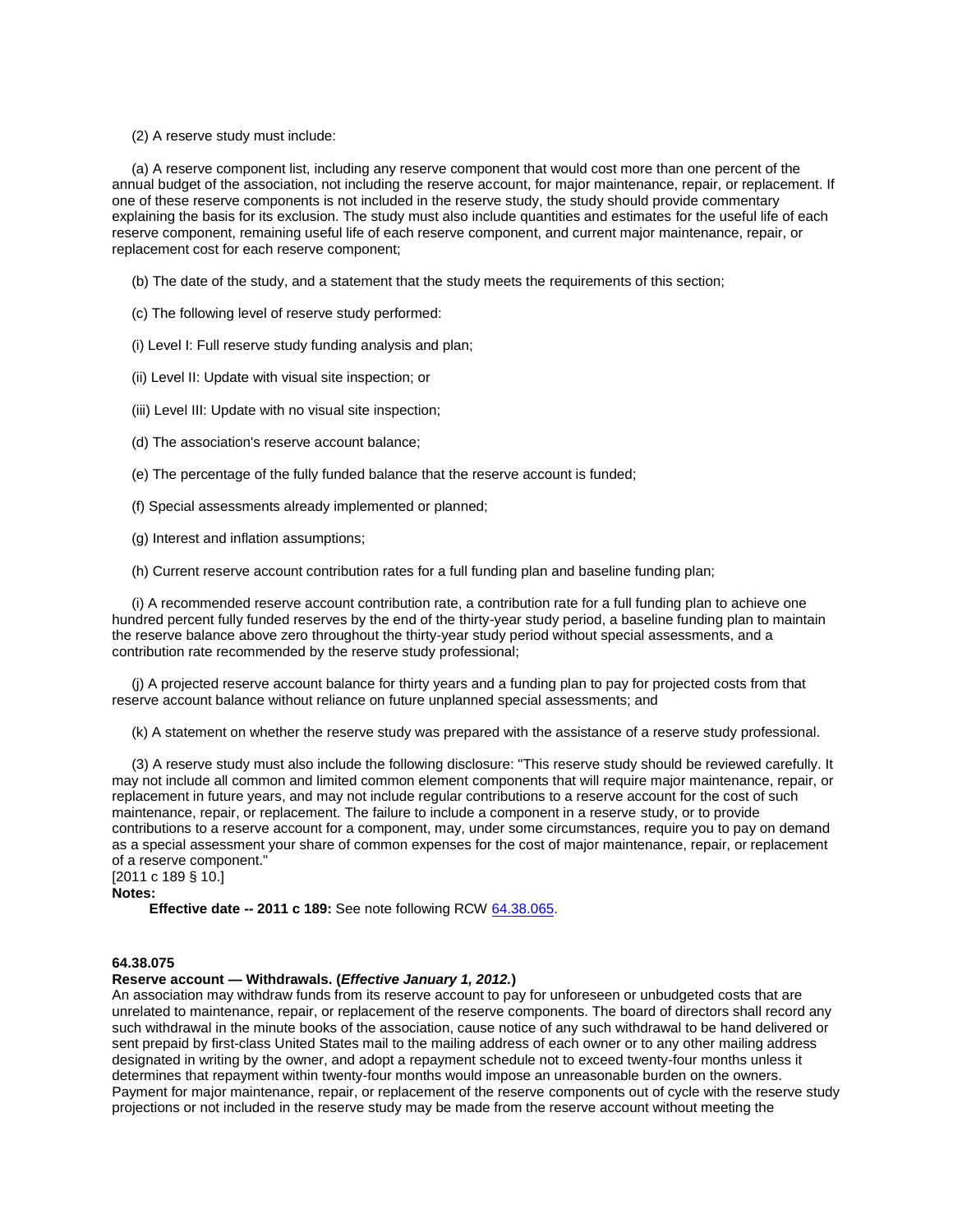(2) A reserve study must include:

 (a) A reserve component list, including any reserve component that would cost more than one percent of the annual budget of the association, not including the reserve account, for major maintenance, repair, or replacement. If one of these reserve components is not included in the reserve study, the study should provide commentary explaining the basis for its exclusion. The study must also include quantities and estimates for the useful life of each reserve component, remaining useful life of each reserve component, and current major maintenance, repair, or replacement cost for each reserve component;

(b) The date of the study, and a statement that the study meets the requirements of this section;

(c) The following level of reserve study performed:

(i) Level I: Full reserve study funding analysis and plan;

(ii) Level II: Update with visual site inspection; or

(iii) Level III: Update with no visual site inspection;

(d) The association's reserve account balance;

(e) The percentage of the fully funded balance that the reserve account is funded;

(f) Special assessments already implemented or planned;

(g) Interest and inflation assumptions;

(h) Current reserve account contribution rates for a full funding plan and baseline funding plan;

 (i) A recommended reserve account contribution rate, a contribution rate for a full funding plan to achieve one hundred percent fully funded reserves by the end of the thirty-year study period, a baseline funding plan to maintain the reserve balance above zero throughout the thirty-year study period without special assessments, and a contribution rate recommended by the reserve study professional;

 (j) A projected reserve account balance for thirty years and a funding plan to pay for projected costs from that reserve account balance without reliance on future unplanned special assessments; and

(k) A statement on whether the reserve study was prepared with the assistance of a reserve study professional.

 (3) A reserve study must also include the following disclosure: "This reserve study should be reviewed carefully. It may not include all common and limited common element components that will require major maintenance, repair, or replacement in future years, and may not include regular contributions to a reserve account for the cost of such maintenance, repair, or replacement. The failure to include a component in a reserve study, or to provide contributions to a reserve account for a component, may, under some circumstances, require you to pay on demand as a special assessment your share of common expenses for the cost of major maintenance, repair, or replacement of a reserve component."

[2011 c 189 § 10.] **Notes:**

**Effective date -- 2011 c 189:** See note following RCW [64.38.065.](http://apps.leg.wa.gov/rcw/default.aspx?cite=64.38&full=true#64.38.065)

# **64.38.075**

## **Reserve account — Withdrawals. (***Effective January 1, 2012.***)**

An association may withdraw funds from its reserve account to pay for unforeseen or unbudgeted costs that are unrelated to maintenance, repair, or replacement of the reserve components. The board of directors shall record any such withdrawal in the minute books of the association, cause notice of any such withdrawal to be hand delivered or sent prepaid by first-class United States mail to the mailing address of each owner or to any other mailing address designated in writing by the owner, and adopt a repayment schedule not to exceed twenty-four months unless it determines that repayment within twenty-four months would impose an unreasonable burden on the owners. Payment for major maintenance, repair, or replacement of the reserve components out of cycle with the reserve study projections or not included in the reserve study may be made from the reserve account without meeting the